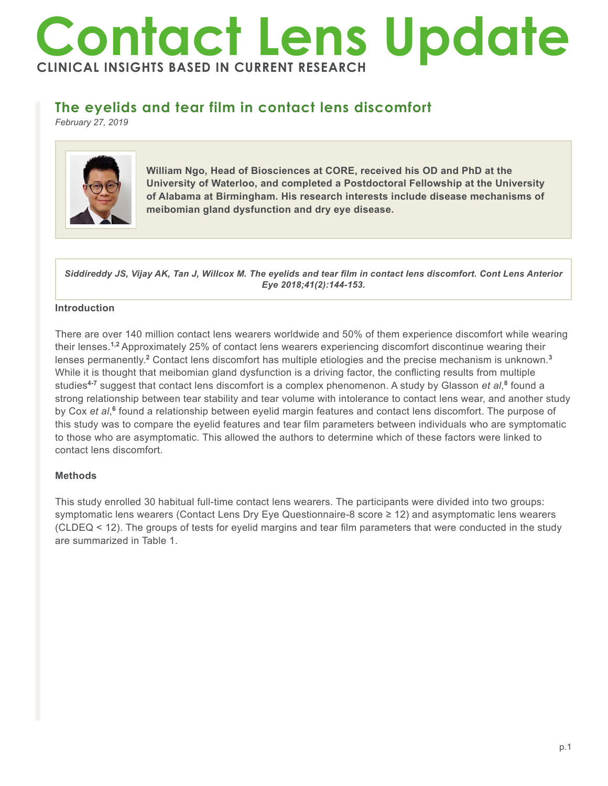# **Contact Lens Update CLINICAL INSIGHTS BASED IN CURRENT RESEARCH**

# **The eyelids and tear film in contact lens discomfort**

*February 27, 2019*



**William Ngo, Head of Biosciences at CORE, received his OD and PhD at the University of Waterloo, and completed a Postdoctoral Fellowship at the University of Alabama at Birmingham. His research interests include disease mechanisms of meibomian gland dysfunction and dry eye disease.**

*Siddireddy JS, Vijay AK, Tan J, Willcox M. The eyelids and tear film in contact lens discomfort. Cont Lens Anterior Eye 2018;41(2):144-153.*

## **Introduction**

There are over 140 million contact lens wearers worldwide and 50% of them experience discomfort while wearing their lenses.**1,2** Approximately 25% of contact lens wearers experiencing discomfort discontinue wearing their lenses permanently.<sup>2</sup> Contact lens discomfort has multiple etiologies and the precise mechanism is unknown.<sup>3</sup> While it is thought that meibomian gland dysfunction is a driving factor, the conflicting results from multiple studies**4-7** suggest that contact lens discomfort is a complex phenomenon. A study by Glasson *et al*, **8** found a strong relationship between tear stability and tear volume with intolerance to contact lens wear, and another study by Cox et al,<sup>6</sup> found a relationship between eyelid margin features and contact lens discomfort. The purpose of this study was to compare the eyelid features and tear film parameters between individuals who are symptomatic to those who are asymptomatic. This allowed the authors to determine which of these factors were linked to contact lens discomfort.

## **Methods**

This study enrolled 30 habitual full-time contact lens wearers. The participants were divided into two groups: symptomatic lens wearers (Contact Lens Dry Eye Questionnaire-8 score ≥ 12) and asymptomatic lens wearers (CLDEQ < 12). The groups of tests for eyelid margins and tear film parameters that were conducted in the study are summarized in Table 1.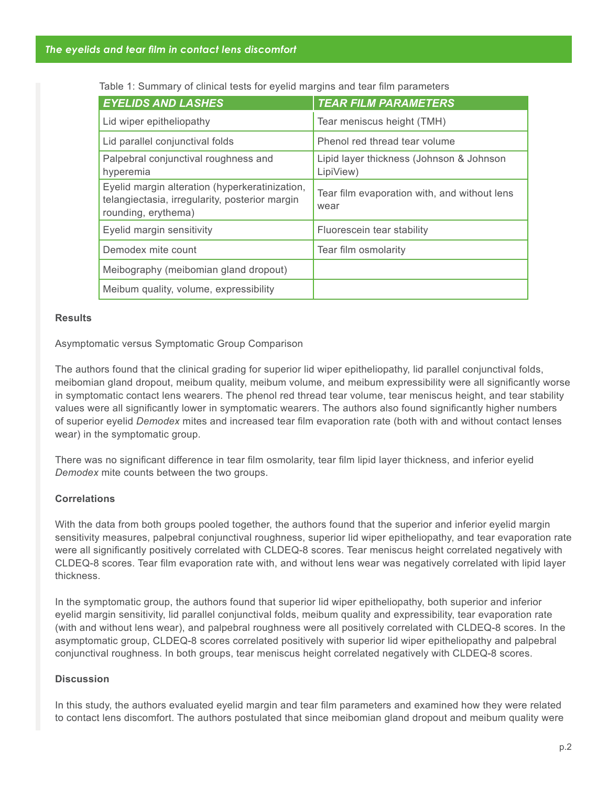| <b>EYELIDS AND LASHES</b>                                                                                               | <b>TEAR FILM PARAMETERS</b>                           |
|-------------------------------------------------------------------------------------------------------------------------|-------------------------------------------------------|
| Lid wiper epitheliopathy                                                                                                | Tear meniscus height (TMH)                            |
| Lid parallel conjunctival folds                                                                                         | Phenol red thread tear volume                         |
| Palpebral conjunctival roughness and<br>hyperemia                                                                       | Lipid layer thickness (Johnson & Johnson<br>LipiView) |
| Eyelid margin alteration (hyperkeratinization,<br>telangiectasia, irregularity, posterior margin<br>rounding, erythema) | Tear film evaporation with, and without lens<br>wear  |
| Eyelid margin sensitivity                                                                                               | Fluorescein tear stability                            |
| Demodex mite count                                                                                                      | Tear film osmolarity                                  |
| Meibography (meibomian gland dropout)                                                                                   |                                                       |
| Meibum quality, volume, expressibility                                                                                  |                                                       |

Table 1: Summary of clinical tests for eyelid margins and tear film parameters

#### **Results**

Asymptomatic versus Symptomatic Group Comparison

The authors found that the clinical grading for superior lid wiper epitheliopathy, lid parallel conjunctival folds, meibomian gland dropout, meibum quality, meibum volume, and meibum expressibility were all significantly worse in symptomatic contact lens wearers. The phenol red thread tear volume, tear meniscus height, and tear stability values were all significantly lower in symptomatic wearers. The authors also found significantly higher numbers of superior eyelid *Demodex* mites and increased tear film evaporation rate (both with and without contact lenses wear) in the symptomatic group.

There was no significant difference in tear film osmolarity, tear film lipid layer thickness, and inferior eyelid *Demodex* mite counts between the two groups.

## **Correlations**

With the data from both groups pooled together, the authors found that the superior and inferior eyelid margin sensitivity measures, palpebral conjunctival roughness, superior lid wiper epitheliopathy, and tear evaporation rate were all significantly positively correlated with CLDEQ-8 scores. Tear meniscus height correlated negatively with CLDEQ-8 scores. Tear film evaporation rate with, and without lens wear was negatively correlated with lipid layer thickness.

In the symptomatic group, the authors found that superior lid wiper epitheliopathy, both superior and inferior eyelid margin sensitivity, lid parallel conjunctival folds, meibum quality and expressibility, tear evaporation rate (with and without lens wear), and palpebral roughness were all positively correlated with CLDEQ-8 scores. In the asymptomatic group, CLDEQ-8 scores correlated positively with superior lid wiper epitheliopathy and palpebral conjunctival roughness. In both groups, tear meniscus height correlated negatively with CLDEQ-8 scores.

## **Discussion**

In this study, the authors evaluated eyelid margin and tear film parameters and examined how they were related to contact lens discomfort. The authors postulated that since meibomian gland dropout and meibum quality were